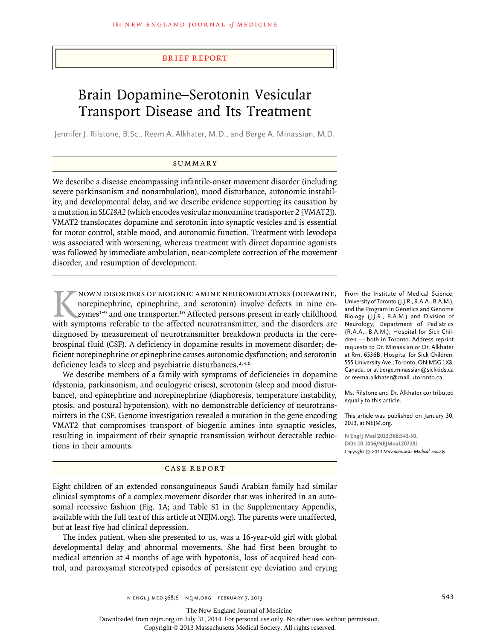# brief report

# Brain Dopamine–Serotonin Vesicular Transport Disease and Its Treatment

Jennifer J. Rilstone, B.Sc., Reem A. Alkhater, M.D., and Berge A. Minassian, M.D.

#### **SUMMARY**

We describe a disease encompassing infantile-onset movement disorder (including severe parkinsonism and nonambulation), mood disturbance, autonomic instability, and developmental delay, and we describe evidence supporting its causation by a mutation in *SLC18A2* (which encodes vesicular monoamine transporter 2 [VMAT2]). VMAT2 translocates dopamine and serotonin into synaptic vesicles and is essential for motor control, stable mood, and autonomic function. Treatment with levodopa was associated with worsening, whereas treatment with direct dopamine agonists was followed by immediate ambulation, near-complete correction of the movement disorder, and resumption of development.

NOWN DISORDERS OF BIOGENIC AMINE NEUROMEDIATORS (DOPAMINE, norepinephrine, epinephrine, and serotonin) involve defects in nine en-<br>zymes<sup>1-9</sup> and one transporter.<sup>10</sup> Affected persons present in early childhood<br>with sympto norepinephrine, epinephrine, and serotonin) involve defects in nine enzymes<sup>1-9</sup> and one transporter.<sup>10</sup> Affected persons present in early childhood with symptoms referable to the affected neurotransmitter, and the disorders are diagnosed by measurement of neurotransmitter breakdown products in the cerebrospinal fluid (CSF). A deficiency in dopamine results in movement disorder; deficient norepinephrine or epinephrine causes autonomic dysfunction; and serotonin deficiency leads to sleep and psychiatric disturbances.<sup>2,3,6</sup>

We describe members of a family with symptoms of deficiencies in dopamine (dystonia, parkinsonism, and oculogyric crises), serotonin (sleep and mood disturbance), and epinephrine and norepinephrine (diaphoresis, temperature instability, ptosis, and postural hypotension), with no demonstrable deficiency of neurotransmitters in the CSF. Genome investigation revealed a mutation in the gene encoding VMAT2 that compromises transport of biogenic amines into synaptic vesicles, resulting in impairment of their synaptic transmission without detectable reductions in their amounts.

C A SE R EPORT

Eight children of an extended consanguineous Saudi Arabian family had similar clinical symptoms of a complex movement disorder that was inherited in an autosomal recessive fashion (Fig. 1A; and Table S1 in the Supplementary Appendix, available with the full text of this article at NEJM.org). The parents were unaffected, but at least five had clinical depression.

The index patient, when she presented to us, was a 16-year-old girl with global developmental delay and abnormal movements. She had first been brought to medical attention at 4 months of age with hypotonia, loss of acquired head control, and paroxysmal stereotyped episodes of persistent eye deviation and crying

From the Institute of Medical Science, University of Toronto (J.J.R., R.A.A., B.A.M.), and the Program in Genetics and Genome Biology (J.J.R., B.A.M.) and Division of Neurology, Department of Pediatrics (R.A.A., B.A.M.), Hospital for Sick Children — both in Toronto. Address reprint requests to Dr. Minassian or Dr. Alkhater at Rm. 6536B, Hospital for Sick Children, 555 University Ave., Toronto, ON M5G 1X8, Canada, or at berge.minassian@sickkids.ca or reema.alkhater@mail.utoronto.ca.

Ms. Rilstone and Dr. Alkhater contributed equally to this article.

This article was published on January 30, 2013, at NEJM.org.

**N Engl J Med 2013;368:543-50. DOI: 10.1056/NEJMoa1207281** *Copyright © 2013 Massachusetts Medical Society.*

The New England Journal of Medicine

Downloaded from nejm.org on July 31, 2014. For personal use only. No other uses without permission.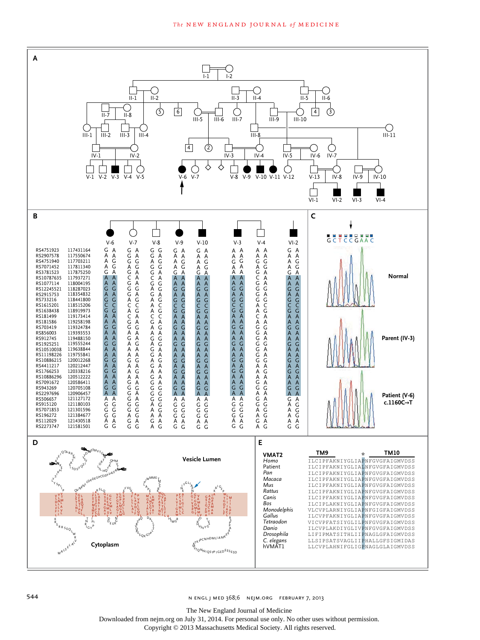

544 **544 n engl j med 368;6 nejm.org FEBRUARY 7, 2013** 

The New England Journal of Medicine

Downloaded from nejm.org on July 31, 2014. For personal use only. No other uses without permission.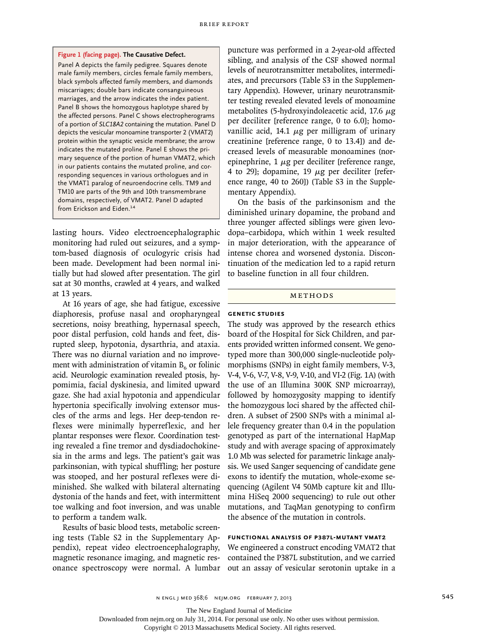| Figure 1 (facing page). The Causative Defect.            |
|----------------------------------------------------------|
| Panel A depicts the family pedigree. Squares denote      |
| male family members, circles female family members,      |
| black symbols affected family members, and diamonds      |
| miscarriages; double bars indicate consanguineous        |
| marriages, and the arrow indicates the index patient.    |
| Panel B shows the homozygous haplotype shared by         |
| the affected persons. Panel C shows electropherograms    |
| of a portion of SLC18A2 containing the mutation. Panel D |
| depicts the vesicular monoamine transporter 2 (VMAT2)    |
| protein within the synaptic vesicle membrane; the arrow  |
| indicates the mutated proline. Panel E shows the pri-    |
| mary sequence of the portion of human VMAT2, which       |
| in our patients contains the mutated proline, and cor-   |
| responding sequences in various orthologues and in       |
| the VMAT1 paralog of neuroendocrine cells. TM9 and       |
| TM10 are parts of the 9th and 10th transmembrane         |
| domains, respectively, of VMAT2. Panel D adapted         |
| from Erickson and Eiden. <sup>14</sup>                   |
|                                                          |

lasting hours. Video electroencephalographic monitoring had ruled out seizures, and a symptom-based diagnosis of oculogyric crisis had been made. Development had been normal initially but had slowed after presentation. The girl sat at 30 months, crawled at 4 years, and walked at 13 years.

At 16 years of age, she had fatigue, excessive diaphoresis, profuse nasal and oropharyngeal secretions, noisy breathing, hypernasal speech, poor distal perfusion, cold hands and feet, disrupted sleep, hypotonia, dysarthria, and ataxia. There was no diurnal variation and no improvement with administration of vitamin  $B_6$  or folinic acid. Neurologic examination revealed ptosis, hypomimia, facial dyskinesia, and limited upward gaze. She had axial hypotonia and appendicular hypertonia specifically involving extensor muscles of the arms and legs. Her deep-tendon reflexes were minimally hyperreflexic, and her plantar responses were flexor. Coordination testing revealed a fine tremor and dysdiadochokinesia in the arms and legs. The patient's gait was parkinsonian, with typical shuffling; her posture was stooped, and her postural reflexes were diminished. She walked with bilateral alternating dystonia of the hands and feet, with intermittent toe walking and foot inversion, and was unable to perform a tandem walk.

Results of basic blood tests, metabolic screening tests (Table S2 in the Supplementary Appendix), repeat video electroencephalography, magnetic resonance imaging, and magnetic resonance spectroscopy were normal. A lumbar puncture was performed in a 2-year-old affected sibling, and analysis of the CSF showed normal levels of neurotransmitter metabolites, intermediates, and precursors (Table S3 in the Supplementary Appendix). However, urinary neurotransmitter testing revealed elevated levels of monoamine metabolites (5-hydroxyindoleacetic acid, 17.6 μg per deciliter [reference range, 0 to 6.0]; homovanillic acid, 14.1  $\mu$ g per milligram of urinary creatinine [reference range, 0 to 13.4]) and decreased levels of measurable monoamines (norepinephrine,  $1 \mu$ g per deciliter [reference range, 4 to 29]; dopamine, 19  $\mu$ g per deciliter [reference range, 40 to 260]) (Table S3 in the Supplementary Appendix).

On the basis of the parkinsonism and the diminished urinary dopamine, the proband and three younger affected siblings were given levodopa–carbidopa, which within 1 week resulted in major deterioration, with the appearance of intense chorea and worsened dystonia. Discontinuation of the medication led to a rapid return to baseline function in all four children.

## METHODS

#### **GENETIC STUDIES**

The study was approved by the research ethics board of the Hospital for Sick Children, and parents provided written informed consent. We genotyped more than 300,000 single-nucleotide polymorphisms (SNPs) in eight family members, V-3, V-4, V-6, V-7, V-8, V-9, V-10, and VI-2 (Fig. 1A) (with the use of an Illumina 300K SNP microarray), followed by homozygosity mapping to identify the homozygous loci shared by the affected children. A subset of 2500 SNPs with a minimal allele frequency greater than 0.4 in the population genotyped as part of the international HapMap study and with average spacing of approximately 1.0 Mb was selected for parametric linkage analysis. We used Sanger sequencing of candidate gene exons to identify the mutation, whole-exome sequencing (Agilent V4 50Mb capture kit and Illumina HiSeq 2000 sequencing) to rule out other mutations, and TaqMan genotyping to confirm the absence of the mutation in controls.

#### **FUNCTIONAL ANALYSIS OF P387L-MUTANT VMAT2**

We engineered a construct encoding VMAT2 that contained the P387L substitution, and we carried out an assay of vesicular serotonin uptake in a

The New England Journal of Medicine

Downloaded from nejm.org on July 31, 2014. For personal use only. No other uses without permission.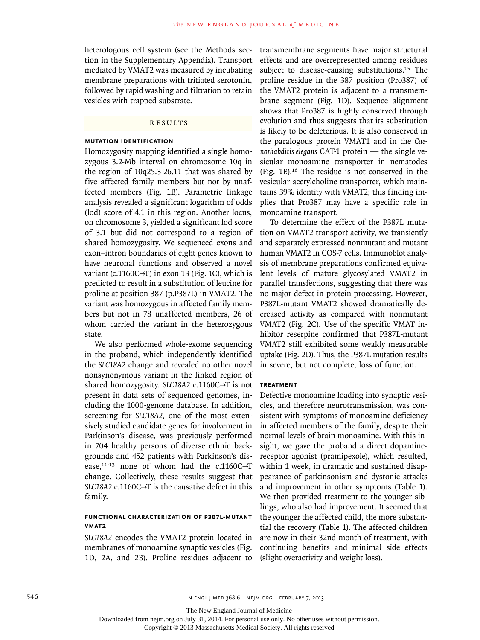heterologous cell system (see the Methods section in the Supplementary Appendix). Transport mediated by VMAT2 was measured by incubating membrane preparations with tritiated serotonin, followed by rapid washing and filtration to retain vesicles with trapped substrate.

### **RESULTS**

#### **MUTATION IDENTIFICATION**

Homozygosity mapping identified a single homozygous 3.2-Mb interval on chromosome 10q in the region of 10q25.3-26.11 that was shared by five affected family members but not by unaffected members (Fig. 1B). Parametric linkage analysis revealed a significant logarithm of odds (lod) score of 4.1 in this region. Another locus, on chromosome 3, yielded a significant lod score of 3.1 but did not correspond to a region of shared homozygosity. We sequenced exons and exon–intron boundaries of eight genes known to have neuronal functions and observed a novel variant (c.1160C $\rightarrow$ T) in exon 13 (Fig. 1C), which is predicted to result in a substitution of leucine for proline at position 387 (p.P387L) in VMAT2. The variant was homozygous in affected family members but not in 78 unaffected members, 26 of whom carried the variant in the heterozygous state.

We also performed whole-exome sequencing in the proband, which independently identified the *SLC18A2* change and revealed no other novel nonsynonymous variant in the linked region of shared homozygosity. *SLC18A2* c.1160C→T is not present in data sets of sequenced genomes, including the 1000-genome database. In addition, screening for *SLC18A2,* one of the most extensively studied candidate genes for involvement in Parkinson's disease, was previously performed in 704 healthy persons of diverse ethnic backgrounds and 452 patients with Parkinson's disease, $11-13$  none of whom had the c.1160C $\rightarrow$ T change. Collectively, these results suggest that *SLC18A2* c.1160C→T is the causative defect in this family.

# **FUNCTIONAL CHARACTERIZATION OF P387L-MUTANT VMAT2**

*SLC18A2* encodes the VMAT2 protein located in membranes of monoamine synaptic vesicles (Fig. 1D, 2A, and 2B). Proline residues adjacent to transmembrane segments have major structural effects and are overrepresented among residues subject to disease-causing substitutions.<sup>15</sup> The proline residue in the 387 position (Pro387) of the VMAT2 protein is adjacent to a transmembrane segment (Fig. 1D). Sequence alignment shows that Pro387 is highly conserved through evolution and thus suggests that its substitution is likely to be deleterious. It is also conserved in the paralogous protein VMAT1 and in the *Caenorhabditis elegans* CAT-1 protein — the single vesicular monoamine transporter in nematodes (Fig. 1E).16 The residue is not conserved in the vesicular acetylcholine transporter, which maintains 39% identity with VMAT2; this finding implies that Pro387 may have a specific role in monoamine transport.

To determine the effect of the P387L mutation on VMAT2 transport activity, we transiently and separately expressed nonmutant and mutant human VMAT2 in COS-7 cells. Immunoblot analysis of membrane preparations confirmed equivalent levels of mature glycosylated VMAT2 in parallel transfections, suggesting that there was no major defect in protein processing. However, P387L-mutant VMAT2 showed dramatically decreased activity as compared with nonmutant VMAT2 (Fig. 2C). Use of the specific VMAT inhibitor reserpine confirmed that P387L-mutant VMAT2 still exhibited some weakly measurable uptake (Fig. 2D). Thus, the P387L mutation results in severe, but not complete, loss of function.

# **TREATMENT**

Defective monoamine loading into synaptic vesicles, and therefore neurotransmission, was consistent with symptoms of monoamine deficiency in affected members of the family, despite their normal levels of brain monoamine. With this insight, we gave the proband a direct dopaminereceptor agonist (pramipexole), which resulted, within 1 week, in dramatic and sustained disappearance of parkinsonism and dystonic attacks and improvement in other symptoms (Table 1). We then provided treatment to the younger siblings, who also had improvement. It seemed that the younger the affected child, the more substantial the recovery (Table 1). The affected children are now in their 32nd month of treatment, with continuing benefits and minimal side effects (slight overactivity and weight loss).

546 **546** n engl j med 368;6 nejm.org February 7, 2013

The New England Journal of Medicine

Downloaded from nejm.org on July 31, 2014. For personal use only. No other uses without permission.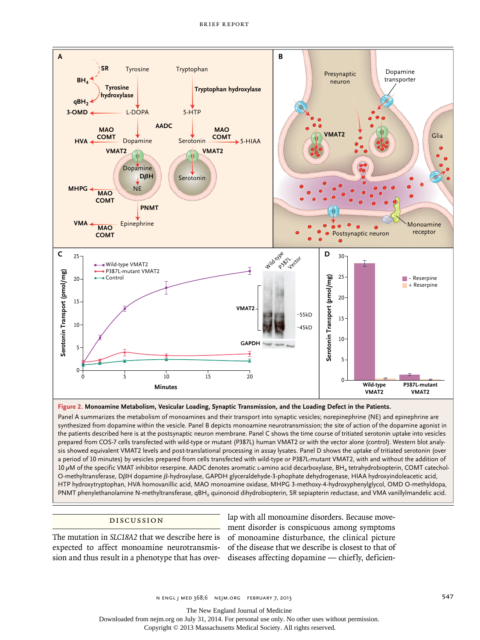

**Figure 2. Monoamine Metabolism, Vesicular Loading, Synaptic Transmission, and the Loading Defect in the Patients.**

Panel A summarizes the metabolism of monoamines and their transport into synaptic vesicles; norepinephrine (NE) and epinephrine are synthesized from dopamine within the vesicle. Panel B depicts monoamine neurotransmission; the site of action of the dopamine agonist in the patients described here is at the postsynaptic neuron membrane. Panel C shows the time course of tritiated serotonin uptake into vesicles prepared from COS-7 cells transfected with wild-type or mutant (P387L) human VMAT2 or with the vector alone (control). Western blot analysis showed equivalent VMAT2 levels and post-translational processing in assay lysates. Panel D shows the uptake of tritiated serotonin (over a period of 10 minutes) by vesicles prepared from cells transfected with wild-type or P387L-mutant VMAT2, with and without the addition of 10 μM of the specific VMAT inhibitor reserpine. AADC denotes aromatic L-amino acid decarboxylase, BH<sub>4</sub> tetrahydrobiopterin, COMT catechol-O-methyltransferase, DβH dopamine β-hydroxylase, GAPDH glyceraldehyde-3-phophate dehydrogenase, HIAA hydroxyindoleacetic acid, HTP hydroxytryptophan, HVA homovanillic acid, MAO monoamine oxidase, MHPG 3-methoxy-4-hydroxyphenylglycol, OMD O-methyldopa, PNMT phenylethanolamine N-methyltransferase, qBH<sub>2</sub> quinonoid dihydrobiopterin, SR sepiapterin reductase, and VMA vanillylmandelic acid.

#### DISCUSSION

The mutation in *SLC18A2* that we describe here is expected to affect monoamine neurotransmis-of the disease that we describe is closest to that of

sion and thus result in a phenotype that has over-diseases affecting dopamine — chiefly, deficienlap with all monoamine disorders. Because movement disorder is conspicuous among symptoms of monoamine disturbance, the clinical picture

n engl j med 368;6 nejm.org february 7, 2013 547

The New England Journal of Medicine

Downloaded from nejm.org on July 31, 2014. For personal use only. No other uses without permission.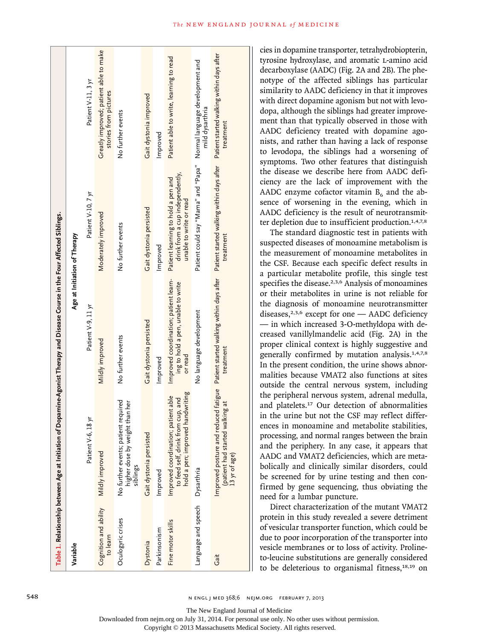| Greatly improved; patient able to make<br>Patient started walking within days after<br>Patient able to write, learning to read<br>Normal language development and<br>stories from pictures<br>Gait dystonia improved<br>mild dysarthria<br>No further events<br>treatment<br>Improved<br>Patient could say "Mama" and "Papa"<br>Patient started walking within days after<br>drink from a cup independently,<br>Patient learning to hold a pen and<br>Patient V-10, 7 yr<br>unable to write or read<br>Gait dystonia persisted<br>Table 1. Relationship between Age at Initiation of Dopamine-Agonist Therapy and Disease Course in the Four Affected Siblings.<br>Moderately improved<br>No further events<br>Age at Initiation of Therapy<br>treatment<br>Improved<br>Patient started walking within days after<br>Improved coordination; patient learn-<br>ing to hold a pen, unable to write<br>Patient V-9, 11 yr<br>No language development<br>Gait dystonia persisted<br>No further events<br>Mildly improved<br>treatment<br>or read<br>Improved<br>Improved posture and reduced fatigue<br>hold a pen; improved handwriting<br>Improved coordination; patient able<br>to feed self, drink from cup, and<br>No further events; patient required<br>higher dose by weight than her<br>walking at<br>18 yr<br>Patient V-6,<br>(patient had started<br>Gait dystonia persisted<br>Mildly improved<br>siblings<br>Dysarthria<br>Improved<br>Language and speech<br>Cognition and ability<br>Oculogyric crises<br>Fine motor skills<br>Parkinsonism<br>to learn<br>Dystonia<br>Variable<br>Gait |
|----------------------------------------------------------------------------------------------------------------------------------------------------------------------------------------------------------------------------------------------------------------------------------------------------------------------------------------------------------------------------------------------------------------------------------------------------------------------------------------------------------------------------------------------------------------------------------------------------------------------------------------------------------------------------------------------------------------------------------------------------------------------------------------------------------------------------------------------------------------------------------------------------------------------------------------------------------------------------------------------------------------------------------------------------------------------------------------------------------------------------------------------------------------------------------------------------------------------------------------------------------------------------------------------------------------------------------------------------------------------------------------------------------------------------------------------------------------------------------------------------------------------------------------------------------------------------------------------------|
|----------------------------------------------------------------------------------------------------------------------------------------------------------------------------------------------------------------------------------------------------------------------------------------------------------------------------------------------------------------------------------------------------------------------------------------------------------------------------------------------------------------------------------------------------------------------------------------------------------------------------------------------------------------------------------------------------------------------------------------------------------------------------------------------------------------------------------------------------------------------------------------------------------------------------------------------------------------------------------------------------------------------------------------------------------------------------------------------------------------------------------------------------------------------------------------------------------------------------------------------------------------------------------------------------------------------------------------------------------------------------------------------------------------------------------------------------------------------------------------------------------------------------------------------------------------------------------------------------|

cies in dopamine transporter, tetrahydrobiopterin, tyrosine hydroxylase, and aromatic l-amino acid decarboxylase (AADC) (Fig. 2A and 2B). The phenotype of the affected siblings has particular similarity to AADC deficiency in that it improves with direct dopamine agonism but not with levodopa, although the siblings had greater improvement than that typically observed in those with AADC deficiency treated with dopamine agonists, and rather than having a lack of response to levodopa, the siblings had a worsening of symptoms. Two other features that distinguish the disease we describe here from AADC deficiency are the lack of improvement with the AADC enzyme cofactor vitamin  $B_6$  and the absence of worsening in the evening, which in AADC deficiency is the result of neurotransmitter depletion due to insufficient production.<sup>1,4,7,8</sup>

The standard diagnostic test in patients with suspected diseases of monoamine metabolism is the measurement of monoamine metabolites in the CSF. Because each specific defect results in a particular metabolite profile, this single test specifies the disease.<sup>2,3,6</sup> Analysis of monoamines or their metabolites in urine is not reliable for the diagnosis of monoamine neurotransmitter diseases,<sup>2,3,6</sup> except for one - AADC deficiency — in which increased 3-O-methyldopa with decreased vanillylmandelic acid (Fig. 2A) in the proper clinical context is highly suggestive and generally confirmed by mutation analysis.1,4,7,8 In the present condition, the urine shows abnormalities because VMAT2 also functions at sites outside the central nervous system, including the peripheral nervous system, adrenal medulla, and platelets.17 Our detection of abnormalities in the urine but not the CSF may reflect differences in monoamine and metabolite stabilities, processing, and normal ranges between the brain and the periphery. In any case, it appears that AADC and VMAT2 deficiencies, which are metabolically and clinically similar disorders, could be screened for by urine testing and then confirmed by gene sequencing, thus obviating the need for a lumbar puncture.

Direct characterization of the mutant VMAT2 protein in this study revealed a severe detriment of vesicular transporter function, which could be due to poor incorporation of the transporter into vesicle membranes or to loss of activity. Prolineto-leucine substitutions are generally considered to be deleterious to organismal fitness,<sup>18,19</sup> on

The New England Journal of Medicine

Downloaded from nejm.org on July 31, 2014. For personal use only. No other uses without permission.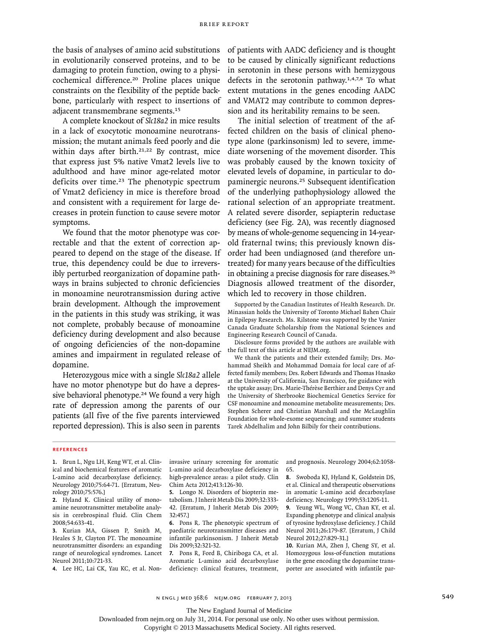the basis of analyses of amino acid substitutions in evolutionarily conserved proteins, and to be damaging to protein function, owing to a physicochemical difference.20 Proline places unique constraints on the flexibility of the peptide backbone, particularly with respect to insertions of adjacent transmembrane segments.<sup>15</sup>

A complete knockout of *Slc18a2* in mice results in a lack of exocytotic monoamine neurotransmission; the mutant animals feed poorly and die within days after birth.<sup>21,22</sup> By contrast, mice that express just 5% native Vmat2 levels live to adulthood and have minor age-related motor deficits over time.<sup>23</sup> The phenotypic spectrum of Vmat2 deficiency in mice is therefore broad and consistent with a requirement for large decreases in protein function to cause severe motor symptoms.

We found that the motor phenotype was correctable and that the extent of correction appeared to depend on the stage of the disease. If true, this dependency could be due to irreversibly perturbed reorganization of dopamine pathways in brains subjected to chronic deficiencies in monoamine neurotransmission during active brain development. Although the improvement in the patients in this study was striking, it was not complete, probably because of monoamine deficiency during development and also because of ongoing deficiencies of the non-dopamine amines and impairment in regulated release of dopamine.

Heterozygous mice with a single *Slc18a2* allele have no motor phenotype but do have a depressive behavioral phenotype.<sup>24</sup> We found a very high rate of depression among the parents of our patients (all five of the five parents interviewed reported depression). This is also seen in parents of patients with AADC deficiency and is thought to be caused by clinically significant reductions in serotonin in these persons with hemizygous defects in the serotonin pathway.1,4,7,8 To what extent mutations in the genes encoding AADC and VMAT2 may contribute to common depression and its heritability remains to be seen.

The initial selection of treatment of the affected children on the basis of clinical phenotype alone (parkinsonism) led to severe, immediate worsening of the movement disorder. This was probably caused by the known toxicity of elevated levels of dopamine, in particular to dopaminergic neurons.25 Subsequent identification of the underlying pathophysiology allowed the rational selection of an appropriate treatment. A related severe disorder, sepiapterin reductase deficiency (see Fig. 2A), was recently diagnosed by means of whole-genome sequencing in 14-yearold fraternal twins; this previously known disorder had been undiagnosed (and therefore untreated) for many years because of the difficulties in obtaining a precise diagnosis for rare diseases.<sup>26</sup> Diagnosis allowed treatment of the disorder, which led to recovery in those children.

Supported by the Canadian Institutes of Health Research. Dr. Minassian holds the University of Toronto Michael Bahen Chair in Epilepsy Research. Ms. Rilstone was supported by the Vanier Canada Graduate Scholarship from the National Sciences and Engineering Research Council of Canada.

Disclosure forms provided by the authors are available with the full text of this article at NEJM.org.

We thank the patients and their extended family; Drs. Mohammad Sheikh and Mohammad Domaia for local care of affected family members; Drs. Robert Edwards and Thomas Hnasko at the University of California, San Francisco, for guidance with the uptake assay; Drs. Marie-Thérèse Berthier and Denys Cyr and the University of Sherbrooke Biochemical Genetics Service for CSF monoamine and monoamine metabolite measurements; Drs. Stephen Scherer and Christian Marshall and the McLaughlin Foundation for whole-exome sequencing; and summer students Tarek Abdelhalim and John Bilbily for their contributions.

#### **References**

**1.** Brun L, Ngu LH, Keng WT, et al. Clinical and biochemical features of aromatic L-amino acid decarboxylase deficiency. Neurology 2010;75:64-71. [Erratum, Neurology 2010;75:576.]

**2.** Hyland K. Clinical utility of monoamine neurotransmitter metabolite analysis in cerebrospinal fluid. Clin Chem 2008;54:633-41.

**3.** Kurian MA, Gissen P, Smith M, Heales S Jr, Clayton PT. The monoamine neurotransmitter disorders: an expanding range of neurological syndromes. Lancet Neurol 2011;10:721-33.

**4.** Lee HC, Lai CK, Yau KC, et al. Non-

invasive urinary screening for aromatic L-amino acid decarboxylase deficiency in high-prevalence areas: a pilot study. Clin Chim Acta 2012;413:126-30.

**5.** Longo N. Disorders of biopterin metabolism. J Inherit Metab Dis 2009;32:333- 42. [Erratum, J Inherit Metab Dis 2009; 32:457.]

**6.** Pons R. The phenotypic spectrum of paediatric neurotransmitter diseases and infantile parkinsonism. J Inherit Metab Dis 2009;32:321-32.

**7.** Pons R, Ford B, Chiriboga CA, et al. Aromatic L-amino acid decarboxylase deficiency: clinical features, treatment, and prognosis. Neurology 2004;62:1058- 65.

**8.** Swoboda KJ, Hyland K, Goldstein DS, et al. Clinical and therapeutic observations in aromatic L-amino acid decarboxylase deficiency. Neurology 1999;53:1205-11.

**9.** Yeung WL, Wong VC, Chan KY, et al. Expanding phenotype and clinical analysis of tyrosine hydroxylase deficiency. J Child Neurol 2011;26:179-87. [Erratum, J Child Neurol 2012;27:829-31.]

**10.** Kurian MA, Zhen J, Cheng SY, et al. Homozygous loss-of-function mutations in the gene encoding the dopamine transporter are associated with infantile par-

n engl j med 368;6 nejm.org february 7, 2013 549

The New England Journal of Medicine

Downloaded from nejm.org on July 31, 2014. For personal use only. No other uses without permission.